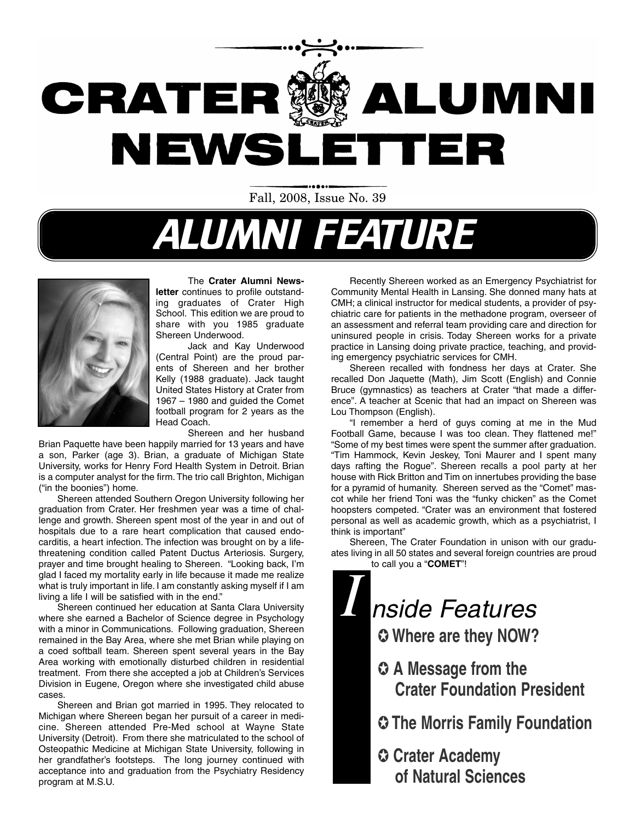

Fall, 2008, Issue No. 39

# ALUMNI FEATURE



#### The **Crater Alumni News-**

**letter** continues to profile outstanding graduates of Crater High School. This edition we are proud to share with you 1985 graduate Shereen Underwood.

Jack and Kay Underwood (Central Point) are the proud parents of Shereen and her brother Kelly (1988 graduate). Jack taught United States History at Crater from 1967 – 1980 and guided the Comet football program for 2 years as the Head Coach.

Shereen and her husband

Brian Paquette have been happily married for 13 years and have a son, Parker (age 3). Brian, a graduate of Michigan State University, works for Henry Ford Health System in Detroit. Brian is a computer analyst for the firm. The trio call Brighton, Michigan ("in the boonies") home.

Shereen attended Southern Oregon University following her graduation from Crater. Her freshmen year was a time of challenge and growth. Shereen spent most of the year in and out of hospitals due to a rare heart complication that caused endocarditis, a heart infection. The infection was brought on by a lifethreatening condition called Patent Ductus Arteriosis. Surgery, prayer and time brought healing to Shereen. "Looking back, I'm glad I faced my mortality early in life because it made me realize what is truly important in life. I am constantly asking myself if I am living a life I will be satisfied with in the end."

Shereen continued her education at Santa Clara University where she earned a Bachelor of Science degree in Psychology with a minor in Communications. Following graduation, Shereen remained in the Bay Area, where she met Brian while playing on a coed softball team. Shereen spent several years in the Bay Area working with emotionally disturbed children in residential treatment. From there she accepted a job at Children's Services Division in Eugene, Oregon where she investigated child abuse cases.

Shereen and Brian got married in 1995. They relocated to Michigan where Shereen began her pursuit of a career in medicine. Shereen attended Pre-Med school at Wayne State University (Detroit). From there she matriculated to the school of Osteopathic Medicine at Michigan State University, following in her grandfather's footsteps. The long journey continued with acceptance into and graduation from the Psychiatry Residency program at M.S.U.

Recently Shereen worked as an Emergency Psychiatrist for Community Mental Health in Lansing. She donned many hats at CMH; a clinical instructor for medical students, a provider of psychiatric care for patients in the methadone program, overseer of an assessment and referral team providing care and direction for uninsured people in crisis. Today Shereen works for a private practice in Lansing doing private practice, teaching, and providing emergency psychiatric services for CMH.

Shereen recalled with fondness her days at Crater. She recalled Don Jaquette (Math), Jim Scott (English) and Connie Bruce (gymnastics) as teachers at Crater "that made a difference". A teacher at Scenic that had an impact on Shereen was Lou Thompson (English).

"I remember a herd of guys coming at me in the Mud Football Game, because I was too clean. They flattened me!" "Some of my best times were spent the summer after graduation. "Tim Hammock, Kevin Jeskey, Toni Maurer and I spent many days rafting the Rogue". Shereen recalls a pool party at her house with Rick Britton and Tim on innertubes providing the base for a pyramid of humanity. Shereen served as the "Comet" mascot while her friend Toni was the "funky chicken" as the Comet hoopsters competed. "Crater was an environment that fostered personal as well as academic growth, which as a psychiatrist, I think is important"

Shereen, The Crater Foundation in unison with our graduates living in all 50 states and several foreign countries are proud to call you a "**COMET**"!

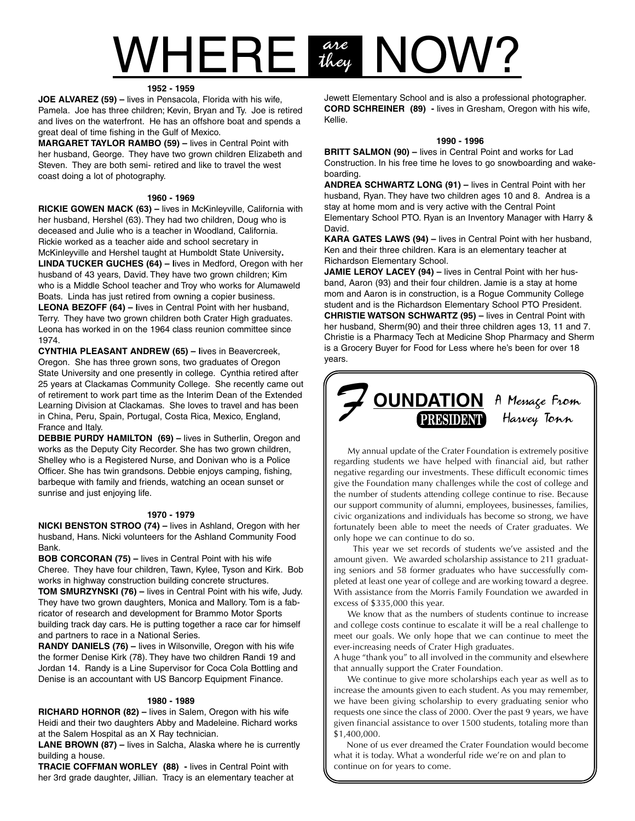## $VHERE$   $\frac{arc}{1000}$  NOW? are<br>they

#### **1952 - 1959**

**JOE ALVAREZ (59) –** lives in Pensacola, Florida with his wife, Pamela. Joe has three children; Kevin, Bryan and Ty. Joe is retired and lives on the waterfront. He has an offshore boat and spends a great deal of time fishing in the Gulf of Mexico.

**MARGARET TAYLOR RAMBO (59) –** lives in Central Point with her husband, George. They have two grown children Elizabeth and Steven. They are both semi- retired and like to travel the west coast doing a lot of photography.

#### **1960 - 1969**

**RICKIE GOWEN MACK (63) –** lives in McKinleyville, California with her husband, Hershel (63). They had two children, Doug who is deceased and Julie who is a teacher in Woodland, California. Rickie worked as a teacher aide and school secretary in McKinleyville and Hershel taught at Humboldt State University**. LINDA TUCKER GUCHES (64) – l**ives in Medford, Oregon with her husband of 43 years, David. They have two grown children; Kim who is a Middle School teacher and Troy who works for Alumaweld Boats. Linda has just retired from owning a copier business. **LEONA BEZOFF (64) – l**ives in Central Point with her husband, Terry. They have two grown children both Crater High graduates. Leona has worked in on the 1964 class reunion committee since 1974.

**CYNTHIA PLEASANT ANDREW (65) – l**ives in Beavercreek, Oregon. She has three grown sons, two graduates of Oregon State University and one presently in college. Cynthia retired after 25 years at Clackamas Community College. She recently came out of retirement to work part time as the Interim Dean of the Extended Learning Division at Clackamas. She loves to travel and has been in China, Peru, Spain, Portugal, Costa Rica, Mexico, England, France and Italy.

**DEBBIE PURDY HAMILTON (69) –** lives in Sutherlin, Oregon and works as the Deputy City Recorder. She has two grown children, Shelley who is a Registered Nurse, and Donivan who is a Police Officer. She has twin grandsons. Debbie enjoys camping, fishing, barbeque with family and friends, watching an ocean sunset or sunrise and just enjoying life.

#### **1970 - 1979**

**NICKI BENSTON STROO (74) –** lives in Ashland, Oregon with her husband, Hans. Nicki volunteers for the Ashland Community Food Bank.

**BOB CORCORAN (75) –** lives in Central Point with his wife Cheree. They have four children, Tawn, Kylee, Tyson and Kirk. Bob works in highway construction building concrete structures.

**TOM SMURZYNSKI (76) –** lives in Central Point with his wife, Judy. They have two grown daughters, Monica and Mallory. Tom is a fabricator of research and development for Brammo Motor Sports building track day cars. He is putting together a race car for himself and partners to race in a National Series.

**RANDY DANIELS (76) –** lives in Wilsonville, Oregon with his wife the former Denise Kirk (78). They have two children Randi 19 and Jordan 14. Randy is a Line Supervisor for Coca Cola Bottling and Denise is an accountant with US Bancorp Equipment Finance.

#### **1980 - 1989**

**RICHARD HORNOR (82) –** lives in Salem, Oregon with his wife Heidi and their two daughters Abby and Madeleine. Richard works at the Salem Hospital as an X Ray technician.

**LANE BROWN (87) –** lives in Salcha, Alaska where he is currently building a house.

**TRACIE COFFMAN WORLEY (88) -** lives in Central Point with her 3rd grade daughter, Jillian. Tracy is an elementary teacher at Jewett Elementary School and is also a professional photographer. **CORD SCHREINER (89) -** lives in Gresham, Oregon with his wife, Kellie.

#### **1990 - 1996**

**BRITT SALMON (90) –** lives in Central Point and works for Lad Construction. In his free time he loves to go snowboarding and wakeboarding.

**ANDREA SCHWARTZ LONG (91) –** lives in Central Point with her husband, Ryan. They have two children ages 10 and 8. Andrea is a stay at home mom and is very active with the Central Point Elementary School PTO. Ryan is an Inventory Manager with Harry & David.

**KARA GATES LAWS (94) –** lives in Central Point with her husband, Ken and their three children. Kara is an elementary teacher at Richardson Elementary School.

**JAMIE LEROY LACEY (94) –** lives in Central Point with her husband, Aaron (93) and their four children. Jamie is a stay at home mom and Aaron is in construction, is a Rogue Community College student and is the Richardson Elementary School PTO President. **CHRISTIE WATSON SCHWARTZ (95) –** lives in Central Point with her husband, Sherm(90) and their three children ages 13, 11 and 7. Christie is a Pharmacy Tech at Medicine Shop Pharmacy and Sherm is a Grocery Buyer for Food for Less where he's been for over 18 years.



My annual update of the Crater Foundation is extremely positive regarding students we have helped with financial aid, but rather negative regarding our investments. These difficult economic times give the Foundation many challenges while the cost of college and the number of students attending college continue to rise. Because our support community of alumni, employees, businesses, families, civic organizations and individuals has become so strong, we have fortunately been able to meet the needs of Crater graduates. We only hope we can continue to do so.

This year we set records of students we've assisted and the amount given. We awarded scholarship assistance to 211 graduating seniors and 58 former graduates who have successfully completed at least one year of college and are working toward a degree. With assistance from the Morris Family Foundation we awarded in excess of \$335,000 this year.

We know that as the numbers of students continue to increase and college costs continue to escalate it will be a real challenge to meet our goals. We only hope that we can continue to meet the ever-increasing needs of Crater High graduates.

A huge "thank you" to all involved in the community and elsewhere that annually support the Crater Foundation.

We continue to give more scholarships each year as well as to increase the amounts given to each student. As you may remember, we have been giving scholarship to every graduating senior who requests one since the class of 2000. Over the past 9 years, we have given financial assistance to over 1500 students, totaling more than \$1,400,000.

None of us ever dreamed the Crater Foundation would become what it is today. What a wonderful ride we're on and plan to continue on for years to come.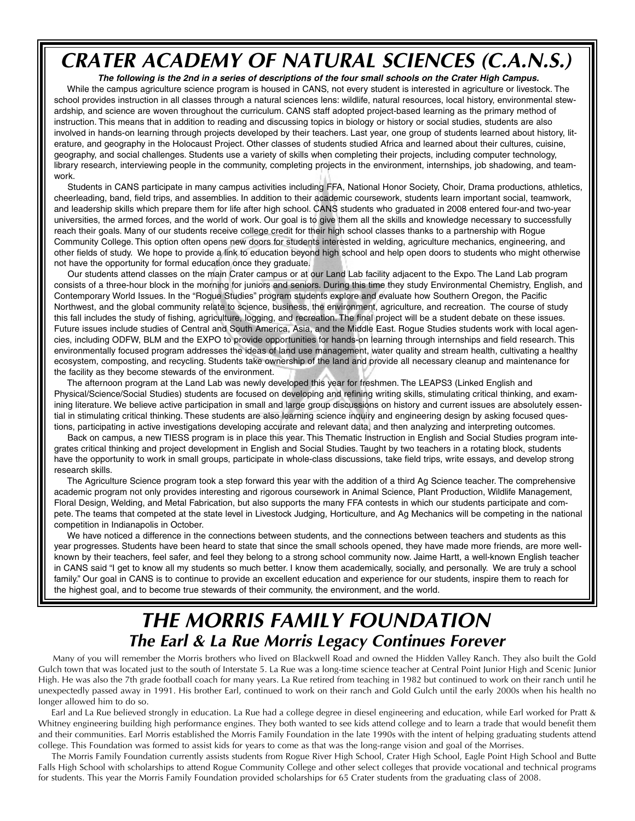### **CRATER ACADEMY OF NATURAL SCIENCES (C.A.N.S.)**

**The following is the 2nd in a series of descriptions of the four small schools on the Crater High Campus.** While the campus agriculture science program is housed in CANS, not every student is interested in agriculture or livestock. The school provides instruction in all classes through a natural sciences lens: wildlife, natural resources, local history, environmental stewardship, and science are woven throughout the curriculum. CANS staff adopted project-based learning as the primary method of instruction. This means that in addition to reading and discussing topics in biology or history or social studies, students are also involved in hands-on learning through projects developed by their teachers. Last year, one group of students learned about history, literature, and geography in the Holocaust Project. Other classes of students studied Africa and learned about their cultures, cuisine, geography, and social challenges. Students use a variety of skills when completing their projects, including computer technology, library research, interviewing people in the community, completing projects in the environment, internships, job shadowing, and teamwork.

Students in CANS participate in many campus activities including FFA, National Honor Society, Choir, Drama productions, athletics, cheerleading, band, field trips, and assemblies. In addition to their academic coursework, students learn important social, teamwork, and leadership skills which prepare them for life after high school. CANS students who graduated in 2008 entered four-and two-year universities, the armed forces, and the world of work. Our goal is to give them all the skills and knowledge necessary to successfully reach their goals. Many of our students receive college credit for their high school classes thanks to a partnership with Rogue Community College. This option often opens new doors for students interested in welding, agriculture mechanics, engineering, and other fields of study. We hope to provide a link to education beyond high school and help open doors to students who might otherwise not have the opportunity for formal education once they graduate.

Our students attend classes on the main Crater campus or at our Land Lab facility adjacent to the Expo. The Land Lab program consists of a three-hour block in the morning for juniors and seniors. During this time they study Environmental Chemistry, English, and Contemporary World Issues. In the "Rogue Studies" program students explore and evaluate how Southern Oregon, the Pacific Northwest, and the global community relate to science, business, the environment, agriculture, and recreation. The course of study this fall includes the study of fishing, agriculture, logging, and recreation. The final project will be a student debate on these issues. Future issues include studies of Central and South America, Asia, and the Middle East. Rogue Studies students work with local agencies, including ODFW, BLM and the EXPO to provide opportunities for hands-on learning through internships and field research. This environmentally focused program addresses the ideas of land use management, water quality and stream health, cultivating a healthy ecosystem, composting, and recycling. Students take ownership of the land and provide all necessary cleanup and maintenance for the facility as they become stewards of the environment.

The afternoon program at the Land Lab was newly developed this year for freshmen. The LEAPS3 (Linked English and Physical/Science/Social Studies) students are focused on developing and refining writing skills, stimulating critical thinking, and examining literature. We believe active participation in small and large group discussions on history and current issues are absolutely essential in stimulating critical thinking. These students are also learning science inquiry and engineering design by asking focused questions, participating in active investigations developing accurate and relevant data, and then analyzing and interpreting outcomes.

Back on campus, a new TIESS program is in place this year. This Thematic Instruction in English and Social Studies program integrates critical thinking and project development in English and Social Studies. Taught by two teachers in a rotating block, students have the opportunity to work in small groups, participate in whole-class discussions, take field trips, write essays, and develop strong research skills.

The Agriculture Science program took a step forward this year with the addition of a third Ag Science teacher. The comprehensive academic program not only provides interesting and rigorous coursework in Animal Science, Plant Production, Wildlife Management, Floral Design, Welding, and Metal Fabrication, but also supports the many FFA contests in which our students participate and compete. The teams that competed at the state level in Livestock Judging, Horticulture, and Ag Mechanics will be competing in the national competition in Indianapolis in October.

We have noticed a difference in the connections between students, and the connections between teachers and students as this year progresses. Students have been heard to state that since the small schools opened, they have made more friends, are more wellknown by their teachers, feel safer, and feel they belong to a strong school community now. Jaime Hartt, a well-known English teacher in CANS said "I get to know all my students so much better. I know them academically, socially, and personally. We are truly a school family." Our goal in CANS is to continue to provide an excellent education and experience for our students, inspire them to reach for the highest goal, and to become true stewards of their community, the environment, and the world.

### **The Earl & La Rue Morris Legacy Continues Forever THE MORRIS FAMILY FOUNDATION**

Many of you will remember the Morris brothers who lived on Blackwell Road and owned the Hidden Valley Ranch. They also built the Gold Gulch town that was located just to the south of Interstate 5. La Rue was a long-time science teacher at Central Point Junior High and Scenic Junior High. He was also the 7th grade football coach for many years. La Rue retired from teaching in 1982 but continued to work on their ranch until he unexpectedly passed away in 1991. His brother Earl, continued to work on their ranch and Gold Gulch until the early 2000s when his health no longer allowed him to do so.

Earl and La Rue believed strongly in education. La Rue had a college degree in diesel engineering and education, while Earl worked for Pratt & Whitney engineering building high performance engines. They both wanted to see kids attend college and to learn a trade that would benefit them and their communities. Earl Morris established the Morris Family Foundation in the late 1990s with the intent of helping graduating students attend college. This Foundation was formed to assist kids for years to come as that was the long-range vision and goal of the Morrises.

The Morris Family Foundation currently assists students from Rogue River High School, Crater High School, Eagle Point High School and Butte Falls High School with scholarships to attend Rogue Community College and other select colleges that provide vocational and technical programs for students. This year the Morris Family Foundation provided scholarships for 65 Crater students from the graduating class of 2008.